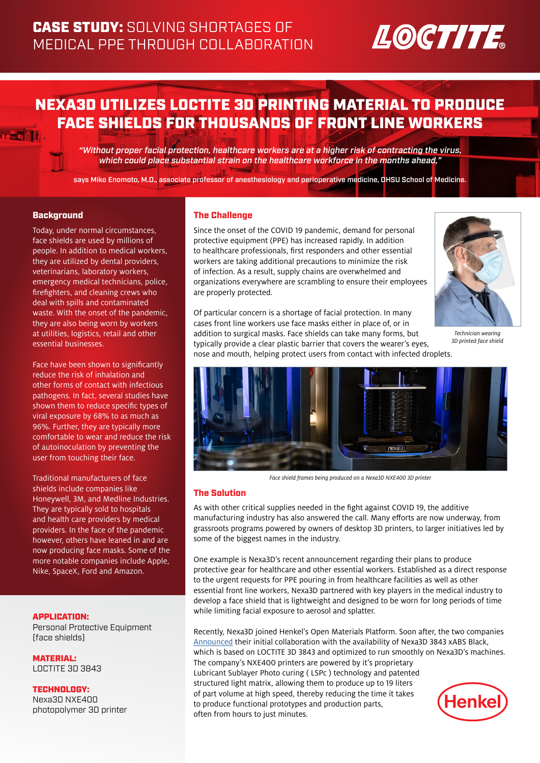# LOCTITE

## NEXA3D UTILIZES LOCTITE 3D PRINTING MATERIAL TO PRODUCE FACE SHIELDS FOR THOUSANDS OF FRONT LINE WORKERS

"Without proper facial protection, healthcare workers are at a higher risk of contracting the virus, which could place substantial strain on the healthcare workforce in the months ahead,"

says Miko Enomoto, M.D., associate professor of anesthesiology and perioperative medicine, OHSU School of Medicine.

### **Background**

Today, under normal circumstances, face shields are used by millions of people. In addition to medical workers, they are utilized by dental providers, veterinarians, laboratory workers, emergency medical technicians, police, firefighters, and cleaning crews who deal with spills and contaminated waste. With the onset of the pandemic, they are also being worn by workers at utilities, logistics, retail and other essential businesses.

Face have been shown to significantly reduce the risk of inhalation and other forms of contact with infectious pathogens. In fact, several studies have shown them to reduce specific types of viral exposure by 68% to as much as 96%. Further, they are typically more comfortable to wear and reduce the risk of autoinoculation by preventing the user from touching their face.

Traditional manufacturers of face shields include companies like Honeywell, 3M, and Medline Industries. They are typically sold to hospitals and health care providers by medical providers. In the face of the pandemic however, others have leaned in and are now producing face masks. Some of the more notable companies include Apple, Nike, SpaceX, Ford and Amazon.

#### APPLICATION:

Personal Protective Equipment (face shields)

MATERIAL: LOCTITE 3D 3843

TECHNOLOGY: Nexa3D NXE400 photopolymer 3D printer

### The Challenge

Since the onset of the COVID 19 pandemic, demand for personal protective equipment (PPE) has increased rapidly. In addition to healthcare professionals, first responders and other essential workers are taking additional precautions to minimize the risk of infection. As a result, supply chains are overwhelmed and organizations everywhere are scrambling to ensure their employees are properly protected.



*Technician wearing 3D printed face shield*

Of particular concern is a shortage of facial protection. In many cases front line workers use face masks either in place of, or in addition to surgical masks. Face shields can take many forms, but typically provide a clear plastic barrier that covers the wearer's eyes, nose and mouth, helping protect users from contact with infected droplets.



*Face shield frames being produced on a Nexa3D NXE400 3D printer*

#### The Solution

As with other critical supplies needed in the fight against COVID 19, the additive manufacturing industry has also answered the call. Many efforts are now underway, from grassroots programs powered by owners of desktop 3D printers, to larger initiatives led by some of the biggest names in the industry.

One example is Nexa3D's recent announcement regarding their plans to produce protective gear for healthcare and other essential workers. Established as a direct response to the urgent requests for PPE pouring in from healthcare facilities as well as other essential front line workers, Nexa3D partnered with key players in the medical industry to develop a face shield that is lightweight and designed to be worn for long periods of time while limiting facial exposure to aerosol and splatter.

Recently, Nexa3D joined Henkel's Open Materials Platform. Soon after, the two companies [Announced](https://www.henkel-northamerica.com/press/press-releases-and-kits/2020-21-04-nexa3d-joins-henkels-open-materials-platform-1058968) their initial collaboration with the availability of Nexa3D 3843 xABS Black, which is based on LOCTITE 3D 3843 and optimized to run smoothly on Nexa3D's machines. The company's NXE400 printers are powered by it's proprietary Lubricant Sublayer Photo curing ( LSPc ) technology and patented structured light matrix, allowing them to produce up to 19 liters of part volume at high speed, thereby reducing the time it takes **Henke** to produce functional prototypes and production parts, often from hours to just minutes.